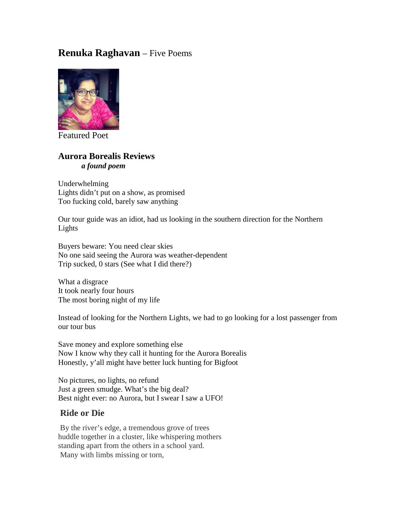# **Renuka Raghavan** – Five Poems



Featured Poet

### **Aurora Borealis Reviews** *a found poem*

Underwhelming Lights didn't put on a show, as promised Too fucking cold, barely saw anything

Our tour guide was an idiot, had us looking in the southern direction for the Northern Lights

Buyers beware: You need clear skies No one said seeing the Aurora was weather-dependent Trip sucked, 0 stars (See what I did there?)

What a disgrace It took nearly four hours The most boring night of my life

Instead of looking for the Northern Lights, we had to go looking for a lost passenger from our tour bus

Save money and explore something else Now I know why they call it hunting for the Aurora Borealis Honestly, y'all might have better luck hunting for Bigfoot

No pictures, no lights, no refund Just a green smudge. What's the big deal? Best night ever: no Aurora, but I swear I saw a UFO!

### **Ride or Die**

By the river's edge, a tremendous grove of trees huddle together in a cluster, like whispering mothers standing apart from the others in a school yard. Many with limbs missing or torn,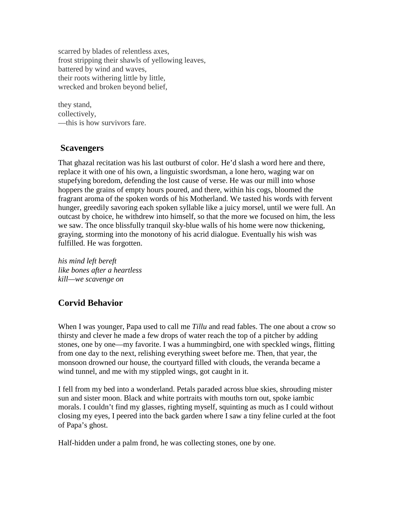scarred by blades of relentless axes, frost stripping their shawls of yellowing leaves, battered by wind and waves, their roots withering little by little, wrecked and broken beyond belief,

they stand, collectively, —this is how survivors fare.

### **Scavengers**

That ghazal recitation was his last outburst of color. He'd slash a word here and there, replace it with one of his own, a linguistic swordsman, a lone hero, waging war on stupefying boredom, defending the lost cause of verse. He was our mill into whose hoppers the grains of empty hours poured, and there, within his cogs, bloomed the fragrant aroma of the spoken words of his Motherland. We tasted his words with fervent hunger, greedily savoring each spoken syllable like a juicy morsel, until we were full. An outcast by choice, he withdrew into himself, so that the more we focused on him, the less we saw. The once blissfully tranquil sky-blue walls of his home were now thickening, graying, storming into the monotony of his acrid dialogue. Eventually his wish was fulfilled. He was forgotten.

*his mind left bereft like bones after a heartless kill—we scavenge on*

## **Corvid Behavior**

When I was younger, Papa used to call me *Tillu* and read fables. The one about a crow so thirsty and clever he made a few drops of water reach the top of a pitcher by adding stones, one by one—my favorite. I was a hummingbird, one with speckled wings, flitting from one day to the next, relishing everything sweet before me. Then, that year, the monsoon drowned our house, the courtyard filled with clouds, the veranda became a wind tunnel, and me with my stippled wings, got caught in it.

I fell from my bed into a wonderland. Petals paraded across blue skies, shrouding mister sun and sister moon. Black and white portraits with mouths torn out, spoke iambic morals. I couldn't find my glasses, righting myself, squinting as much as I could without closing my eyes, I peered into the back garden where I saw a tiny feline curled at the foot of Papa's ghost.

Half-hidden under a palm frond, he was collecting stones, one by one.